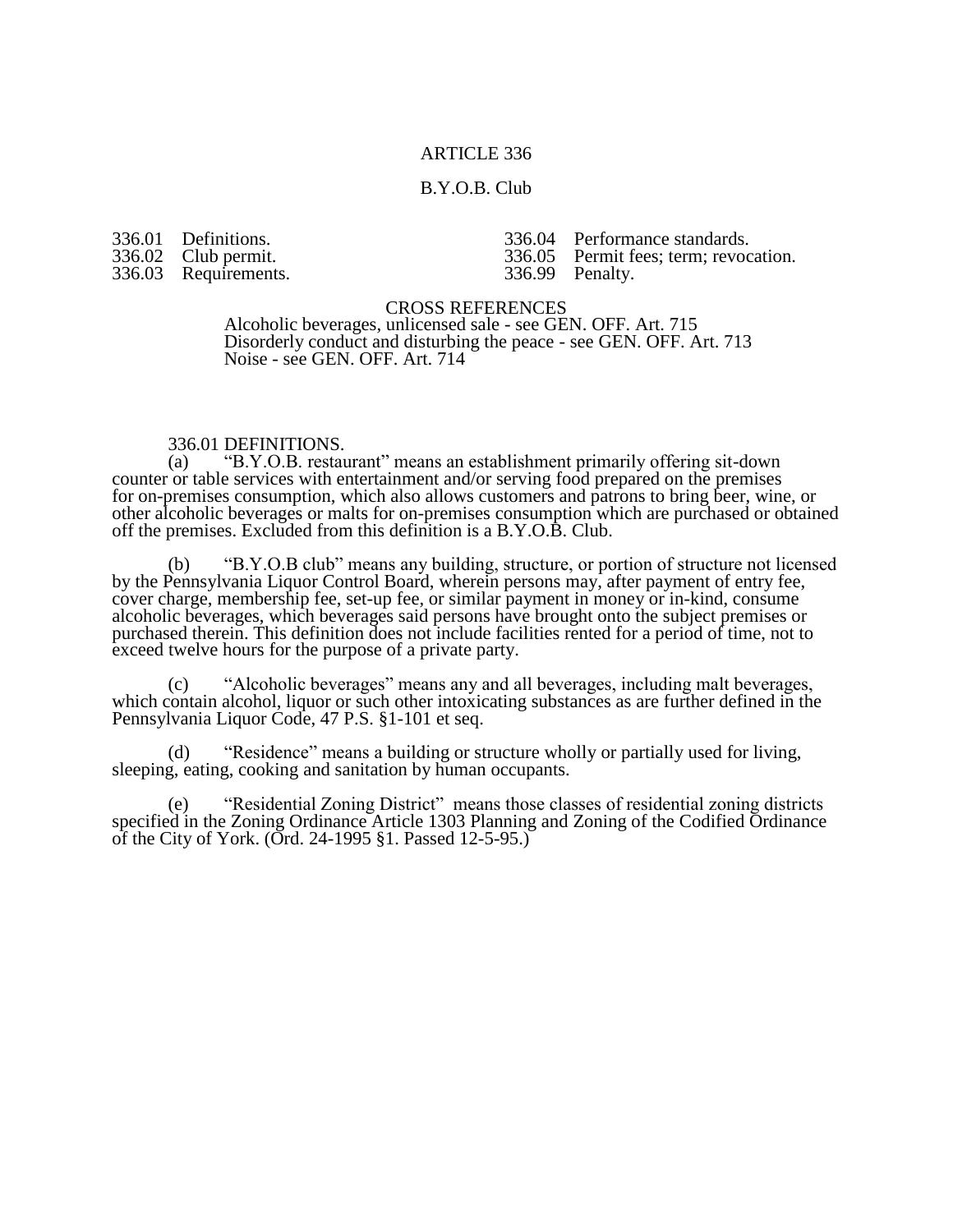## ARTICLE 336

### B.Y.O.B. Club

336.01 Definitions. 336.02 Club permit.<br>336.03 Requirements Requirements.

336.04 Performance standards.<br>336.05 Permit fees; term; revoc Permit fees; term; revocation.<br>Penalty.

336.99

CROSS REFERENCES

Alcoholic beverages, unlicensed sale - see GEN. OFF. Art. 715 Disorderly conduct and disturbing the peace - see GEN. OFF. Art. 713 Noise - see GEN. OFF. Art. 714

## 336.01 DEFINITIONS.<br>(a) "B.Y.O.B. restau

"B.Y.O.B. restaurant" means an establishment primarily offering sit-down counter or table services with entertainment and/or serving food prepared on the premises for on-premises consumption, which also allows customers and patrons to bring beer, wine, or other alcoholic beverages or malts for on-premises consumption which are purchased or obtained off the premises. Excluded from this definition is a B.Y.O.B. Club.

(b) "B.Y.O.B club" means any building, structure, or portion of structure not licensed by the Pennsylvania Liquor Control Board, wherein persons may, after payment of entry fee, cover charge, membership fee, set-up fee, or similar payment in money or in-kind, consume alcoholic beverages, which beverages said persons have brought onto the subject premises or purchased therein. This definition does not include facilities rented for a period of time, not to exceed twelve hours for the purpose of a private party.

(c) "Alcoholic beverages" means any and all beverages, including malt beverages, which contain alcohol, liquor or such other intoxicating substances as are further defined in the Pennsylvania Liquor Code, 47 P.S. §1-101 et seq.

(d) "Residence" means a building or structure wholly or partially used for living, sleeping, eating, cooking and sanitation by human occupants.

(e) "Residential Zoning District" means those classes of residential zoning districts specified in the Zoning Ordinance Article 1303 Planning and Zoning of the Codified Ordinance of the City of York. (Ord. 24-1995 §1. Passed  $12-5-95$ .)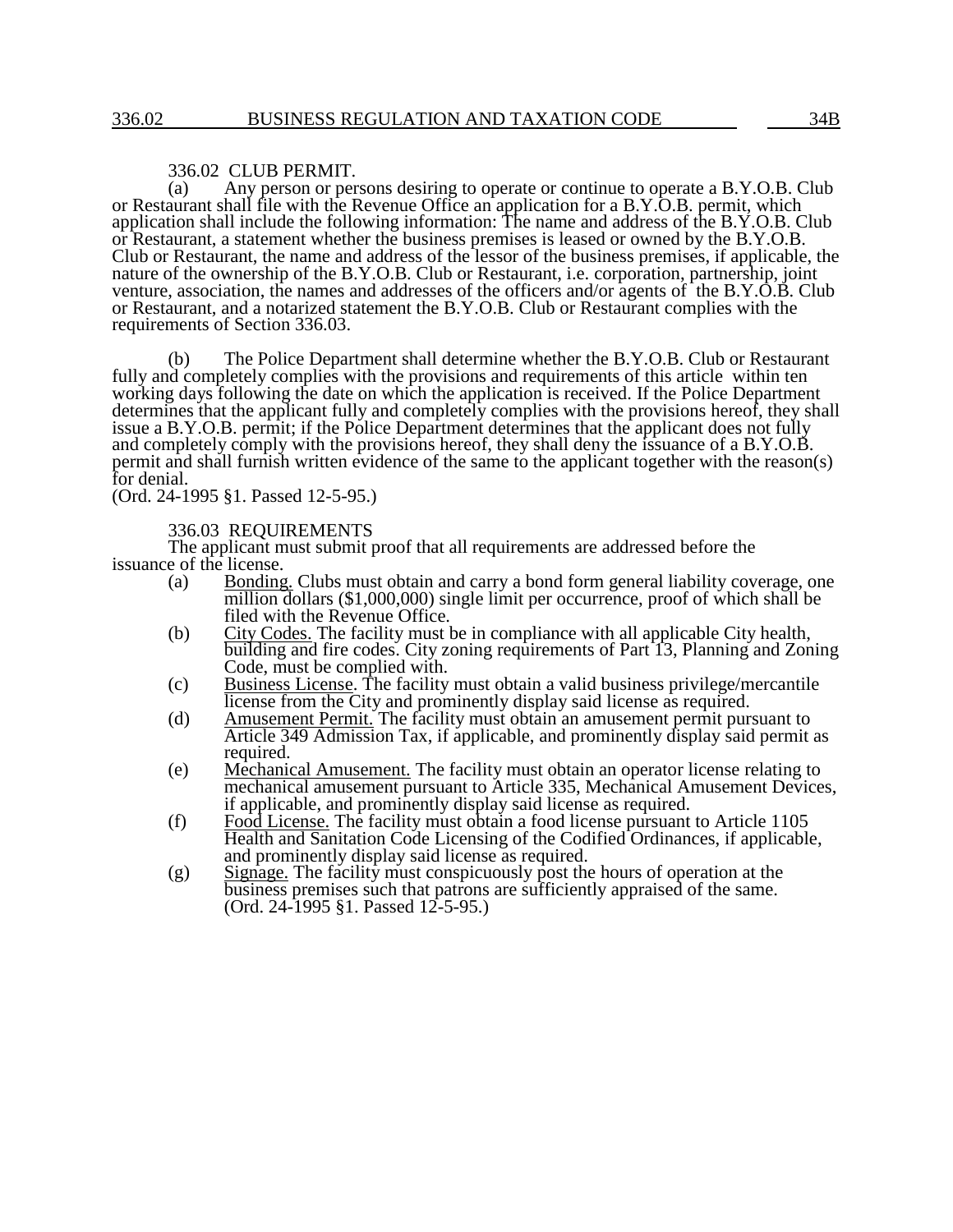#### 336.02 CLUB PERMIT.

(a) Any person or persons desiring to operate or continue to operate a B.Y.O.B. Club or Restaurant shall file with the Revenue Office an application for a B.Y.O.B. permit, which application shall include the following information: The name and address of the B.Y.O.B. Club or Restaurant, a statement whether the business premises is leased or owned by the B.Y.O.B. Club or Restaurant, the name and address of the lessor of the business premises, if applicable, the nature of the ownership of the B.Y.O.B. Club or Restaurant, i.e. corporation, partnership, joint venture, association, the names and addresses of the officers and/or agents of the B.Y.O.B. Club or Restaurant, and a notarized statement the B.Y.O.B. Club or Restaurant complies with the requirements of Section 336.03.

(b) The Police Department shall determine whether the B.Y.O.B. Club or Restaurant fully and completely complies with the provisions and requirements of this article within ten working days following the date on which the application is received. If the Police Department determines that the applicant fully and completely complies with the provisions hereof, they shall issue a B.Y.O.B. permit; if the Police Department determines that the applicant does not fully and completely comply with the provisions hereof, they shall deny the issuance of a B.Y.O.B. permit and shall furnish written evidence of the same to the applicant together with the reason(s) for denial.

(Ord. 24-1995 §1. Passed 12-5-95.)

#### 336.03 REQUIREMENTS

The applicant must submit proof that all requirements are addressed before the issuance of the license.

- (a) Bonding. Clubs must obtain and carry a bond form general liability coverage, one million dollars (\$1,000,000) single limit per occurrence, proof of which shall be filed with the Revenue Office.
- (b) City Codes. The facility must be in compliance with all applicable City health, building and fire codes. City zoning requirements of Part 13, Planning and Zoning Code, must be complied with.
- (c) Business License. The facility must obtain a valid business privilege/mercantile license from the City and prominently display said license as required.
- (d) Amusement Permit. The facility must obtain an amusement permit pursuant to Article 349 Admission Tax, if applicable, and prominently display said permit as required.
- (e) Mechanical Amusement. The facility must obtain an operator license relating to mechanical amusement pursuant to Article 335, Mechanical Amusement Devices, if applicable, and prominently display said license as required.
- (f) Food License. The facility must obtain a food license pursuant to Article 1105 Health and Sanitation Code Licensing of the Codified Ordinances, if applicable, and prominently display said license as required.
- (g) Signage. The facility must conspicuously post the hours of operation at the business premises such that patrons are sufficiently appraised of the same. (Ord. 24-1995 §1. Passed 12-5-95.)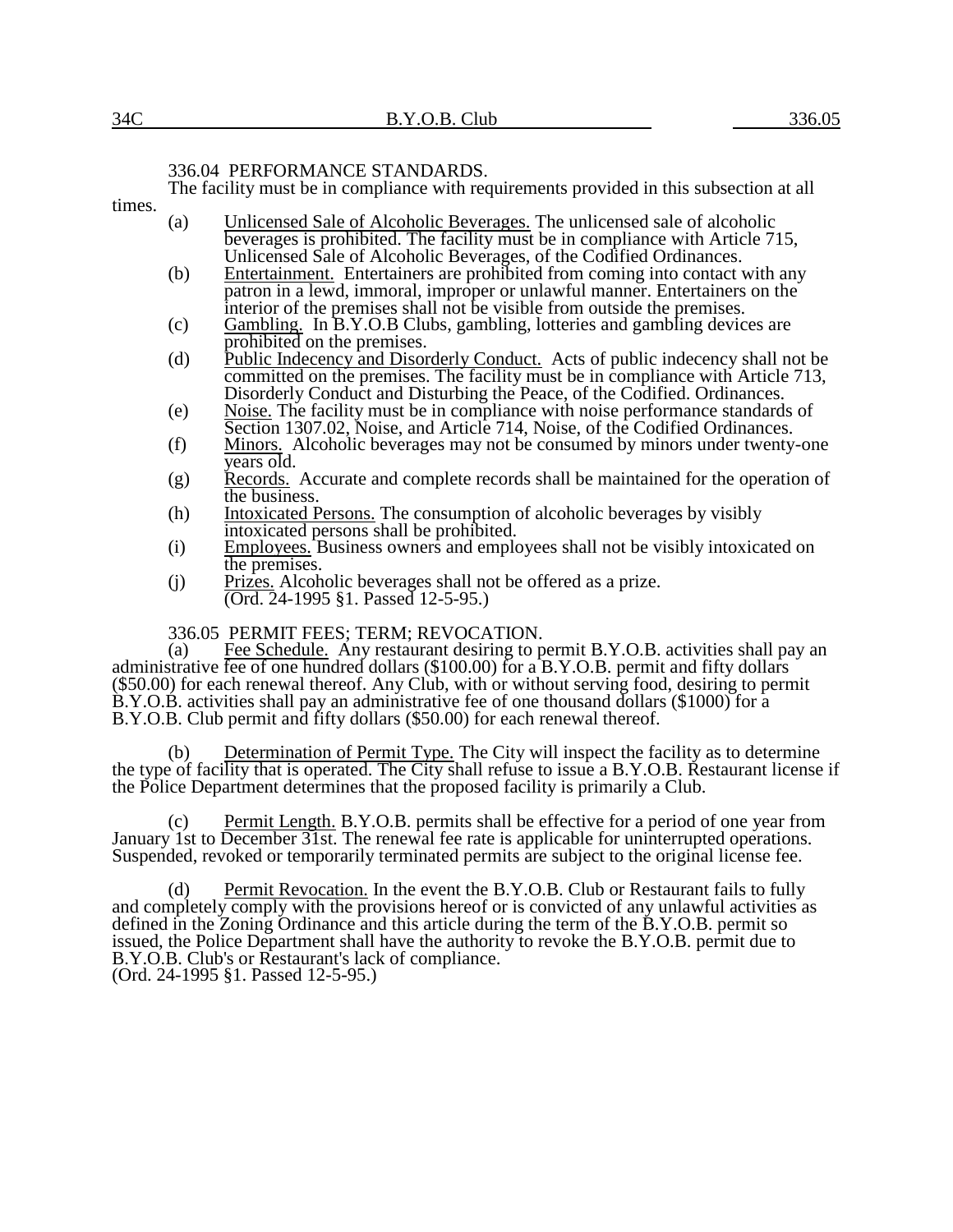### 336.04 PERFORMANCE STANDARDS.

The facility must be in compliance with requirements provided in this subsection at all

times.

- (a) Unlicensed Sale of Alcoholic Beverages. The unlicensed sale of alcoholic beverages is prohibited. The facility must be in compliance with Article 715, Unlicensed Sale of Alcoholic Beverages, of the Codified Ordinances.
- (b) Entertainment. Entertainers are prohibited from coming into contact with any patron in a lewd, immoral, improper or unlawful manner. Entertainers on the interior of the premises shall not be visible from outside the premises.
- (c) Gambling. In B.Y.O.B Clubs, gambling, lotteries and gambling devices are prohibited on the premises.
- (d) Public Indecency and Disorderly Conduct. Acts of public indecency shall not be committed on the premises. The facility must be in compliance with Article 713, Disorderly Conduct and Disturbing the Peace, of the Codified. Ordinances.
- (e) Noise. The facility must be in compliance with noise performance standards of Section 1307.02, Noise, and Article 714, Noise, of the Codified Ordinances.
- (f) Minors. Alcoholic beverages may not be consumed by minors under twenty-one years old.
- (g) Records. Accurate and complete records shall be maintained for the operation of the business.
- (h) Intoxicated Persons. The consumption of alcoholic beverages by visibly intoxicated persons shall be prohibited.
- (i) Employees. Business owners and employees shall not be visibly intoxicated on the premises.
- (j) Prizes. Alcoholic beverages shall not be offered as a prize. (Ord. 24-1995 §1. Passed 12-5-95.)

# 336.05 PERMIT FEES; TERM; REVOCATION.<br>(a) Fee Schedule. Any restaurant desiring to p

Fee Schedule. Any restaurant desiring to permit B.Y.O.B. activities shall pay an administrative fee of one hundred dollars (\$100.00) for a B.Y.O.B. permit and fifty dollars (\$50.00) for each renewal thereof. Any Club, with or without serving food, desiring to permit B.Y.O.B. activities shall pay an administrative fee of one thousand dollars (\$1000) for a B.Y.O.B. Club permit and fifty dollars (\$50.00) for each renewal thereof.

(b) Determination of Permit Type. The City will inspect the facility as to determine the type of facility that is operated. The City shall refuse to issue a B.Y.O.B. Restaurant license if the Police Department determines that the proposed facility is primarily a Club.

(c) Permit Length. B.Y.O.B. permits shall be effective for a period of one year from January 1st to December 31st. The renewal fee rate is applicable for uninterrupted operations. Suspended, revoked or temporarily terminated permits are subject to the original license fee.

(d) Permit Revocation. In the event the B.Y.O.B. Club or Restaurant fails to fully and completely comply with the provisions hereof or is convicted of any unlawful activities as defined in the Zoning Ordinance and this article during the term of the B.Y.O.B. permit so issued, the Police Department shall have the authority to revoke the B.Y.O.B. permit due to B.Y.O.B. Club's or Restaurant's lack of compliance. (Ord. 24-1995 §1. Passed 12-5-95.)